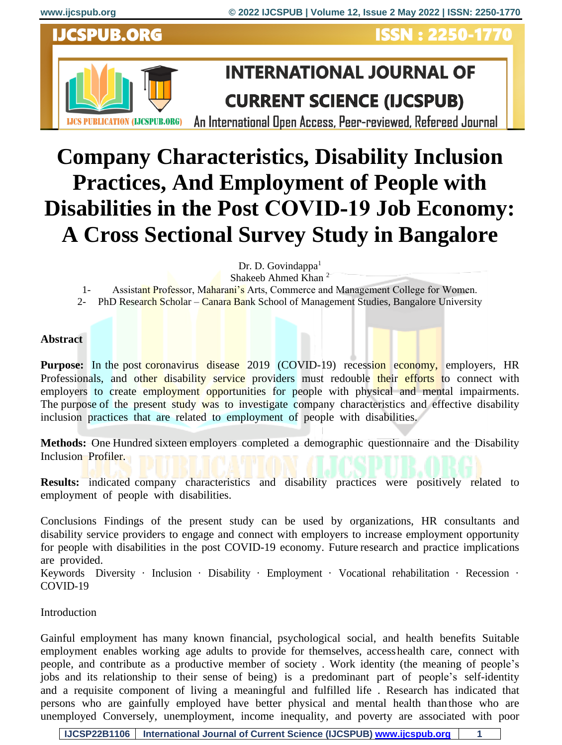# **IJCSPUB.ORG**

**ISSN: 2250-1770** 



# **INTERNATIONAL JOURNAL OF CURRENT SCIENCE (IJCSPUB)**

An International Open Access, Peer-reviewed, Refereed Journal

# **Company Characteristics, Disability Inclusion Practices, And Employment of People with Disabilities in the Post COVID‑19 Job Economy: A Cross Sectional Survey Study in Bangalore**

Dr. D. Govindappa $<sup>1</sup>$ </sup>

Shakeeb Ahmed Khan <sup>2</sup>

1- Assistant Professor, Maharani's Arts, Commerce and Management College for Women.

2- PhD Research Scholar – Canara Bank School of Management Studies, Bangalore University

### **Abstract**

Purpose: In the post coronavirus disease 2019 (COVID-19) recession economy, employers, HR Professionals, and other disability service providers must redouble their efforts to connect with employers to create employment opportunities for people with physical and mental impairments. The purpose of the present study was to investigate company characteristics and effective disability inclusion practices that are related to employment of people with disabilities.

**Methods:** One Hundred sixteen employers completed a demographic questionnaire and the Disability Inclusion Profiler.

**Results:** indicated company characteristics and disability practices were positively related to employment of people with disabilities.

Conclusions Findings of the present study can be used by organizations, HR consultants and disability service providers to engage and connect with employers to increase employment opportunity for people with disabilities in the post COVID-19 economy. Future research and practice implications are provided.

Keywords Diversity · Inclusion · Disability · Employment · Vocational rehabilitation · Recession · COVID-19

## Introduction

Gainful employment has many known financial, psychological social, and health benefits Suitable employment enables working age adults to provide for themselves, access health care, connect with people, and contribute as a productive member of society . Work identity (the meaning of people's jobs and its relationship to their sense of being) is a predominant part of people's self-identity and a requisite component of living a meaningful and fulfilled life . Research has indicated that persons who are gainfully employed have better physical and mental health than those who are unemployed Conversely, unemployment, income inequality, and poverty are associated with poor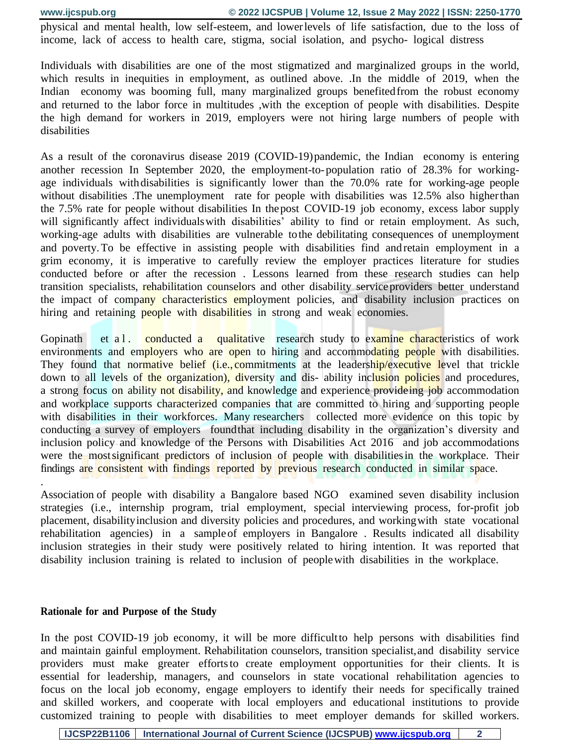physical and mental health, low self-esteem, and lower levels of life satisfaction, due to the loss of income, lack of access to health care, stigma, social isolation, and psycho- logical distress

Individuals with disabilities are one of the most stigmatized and marginalized groups in the world, which results in inequities in employment, as outlined above. .In the middle of 2019, when the Indian economy was booming full, many marginalized groups benefited from the robust economy and returned to the labor force in multitudes ,with the exception of people with disabilities. Despite the high demand for workers in 2019, employers were not hiring large numbers of people with disabilities

As a result of the coronavirus disease 2019 (COVID-19) pandemic, the Indian economy is entering another recession In September 2020, the employment-to- population ratio of 28.3% for workingage individuals with disabilities is significantly lower than the 70.0% rate for working-age people without disabilities. The unemployment rate for people with disabilities was 12.5% also higher than the 7.5% rate for people without disabilities In the post COVID-19 job economy, excess labor supply will significantly affect individuals with disabilities' ability to find or retain employment. As such, working-age adults with disabilities are vulnerable to the debilitating consequences of unemployment and poverty. To be effective in assisting people with disabilities find and retain employment in a grim economy, it is imperative to carefully review the employer practices literature for studies conducted before or after the recession . Lessons learned from these research studies can help transition specialists, rehabilitation counselors and other disability service providers better understand the impact of company characteristics employment policies, and disability inclusion practices on hiring and retaining **people** with disabilities in strong and weak economies.

Gopinath et a l. conducted a qualitative research study to examine characteristics of work environments and employers who are open to hiring and accommodating people with disabilities. They found that normative belief (i.e., commitments at the leadership/executive level that trickle down to all levels of the organization), diversity and dis-ability inclusion policies and procedures, a strong focus on ability not disability, and knowledge and experience provideing job accommodation and workplace supports characterized companies that are committed to hiring and supporting people with disabilities in their workforces. Many researchers collected more evidence on this topic by conducting a survey of employers found that including disability in the organization's diversity and inclusion policy and knowledge of the Persons with Disabilities Act 2016 and job accommodations were the most significant predictors of inclusion of people with disabilities in the workplace. Their findings are consistent with findings reported by previous research conducted in similar space.

Association of people with disability a Bangalore based NGO examined seven disability inclusion strategies (i.e., internship program, trial employment, special interviewing process, for-profit job placement, disability inclusion and diversity policies and procedures, and working with state vocational rehabilitation agencies) in a sample of employers in Bangalore . Results indicated all disability inclusion strategies in their study were positively related to hiring intention. It was reported that disability inclusion training is related to inclusion of people with disabilities in the workplace.

#### **Rationale for and Purpose of the Study**

.

In the post COVID-19 job economy, it will be more difficult to help persons with disabilities find and maintain gainful employment. Rehabilitation counselors, transition specialist, and disability service providers must make greater efforts to create employment opportunities for their clients. It is essential for leadership, managers, and counselors in state vocational rehabilitation agencies to focus on the local job economy, engage employers to identify their needs for specifically trained and skilled workers, and cooperate with local employers and educational institutions to provide customized training to people with disabilities to meet employer demands for skilled workers.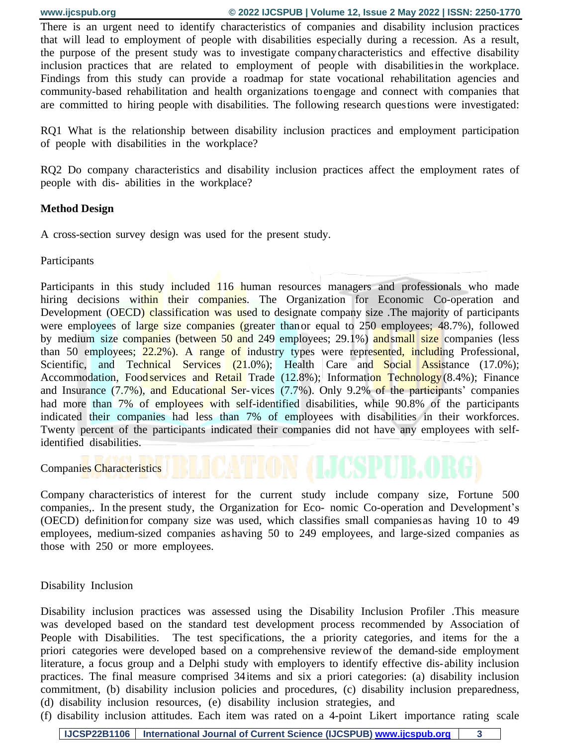There is an urgent need to identify characteristics of companies and disability inclusion practices that will lead to employment of people with disabilities especially during a recession. As a result, the purpose of the present study was to investigate company characteristics and effective disability inclusion practices that are related to employment of people with disabilities in the workplace. Findings from this study can provide a roadmap for state vocational rehabilitation agencies and community-based rehabilitation and health organizations to engage and connect with companies that are committed to hiring people with disabilities. The following research ques tions were investigated:

RQ1 What is the relationship between disability inclusion practices and employment participation of people with disabilities in the workplace?

RQ2 Do company characteristics and disability inclusion practices affect the employment rates of people with dis- abilities in the workplace?

## **Method Design**

A cross-section survey design was used for the present study.

Participants

Participants in this study included 116 human resources managers and professionals who made hiring decisions within their companies. The Organization for Economic Co-operation and Development (OECD) classification was used to designate company size. The majority of participants were employees of large size companies (greater than or equal to 250 employees; 48.7%), followed by medium size companies (between 50 and 249 employees; 29.1%) and small size companies (less than 50 employees; 22.2%). A range of industry types were represented, including Professional, Scientific, and Technical Services (21.0%); Health Care and Social Assistance (17.0%); Accommodation, Food services and Retail Trade (12.8%); Information Technology (8.4%); Finance and Insurance (7.7%), and Educational Ser- vices (7.7%). Only 9.2% of the participants' companies had more than 7% of employees with self-identified disabilities, while 90.8% of the participants indicated their companies had less than 7% of employees with disabilities in their workforces. Twenty percent of the participants indicated their companies did not have any employees with selfidentified disabilities.

Companies Characteristics

Company characteristics of interest for the current study include company size, Fortune 500 companies,. In the present study, the Organization for Eco- nomic Co-operation and Development's (OECD) definition for company size was used, which classifies small companies as having 10 to 49 employees, medium-sized companies as having 50 to 249 employees, and large-sized companies as those with 250 or more employees.

Disability Inclusion

Disability inclusion practices was assessed using the Disability Inclusion Profiler .This measure was developed based on the standard test development process recommended by Association of People with Disabilities. The test specifications, the a priority categories, and items for the a priori categories were developed based on a comprehensive review of the demand-side employment literature, a focus group and a Delphi study with employers to identify effective dis- ability inclusion practices. The final measure comprised 34 items and six a priori categories: (a) disability inclusion commitment, (b) disability inclusion policies and procedures, (c) disability inclusion preparedness, (d) disability inclusion resources, (e) disability inclusion strategies, and

(f) disability inclusion attitudes. Each item was rated on a 4-point Likert importance rating scale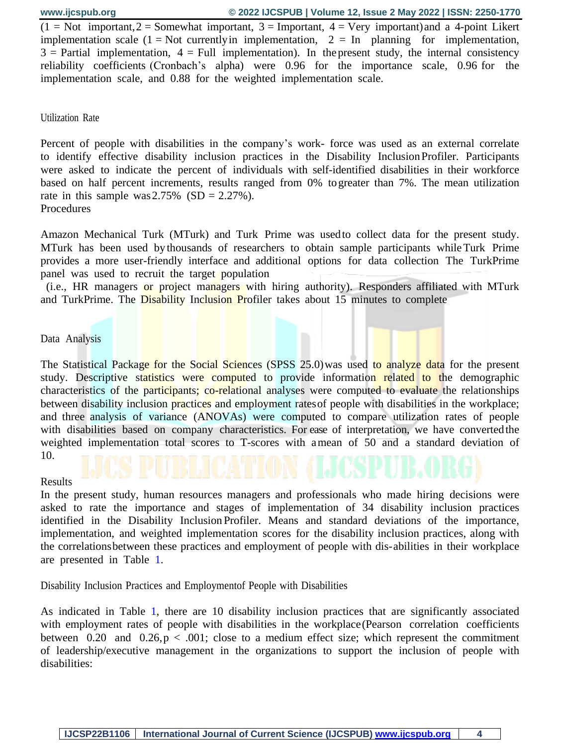$(1 = Not important, 2 = Somewhat important, 3 = Important, 4 = Very important)$  and a 4-point Likert implementation scale  $(1 = Not$  currently in implementation,  $2 = In$  planning for implementation,  $3$  = Partial implementation,  $4$  = Full implementation). In the present study, the internal consistency reliability coefficients (Cronbach's alpha) were 0.96 for the importance scale, 0.96 for the implementation scale, and 0.88 for the weighted implementation scale.

#### Utilization Rate

Percent of people with disabilities in the company's work- force was used as an external correlate to identify effective disability inclusion practices in the Disability Inclusion Profiler. Participants were asked to indicate the percent of individuals with self-identified disabilities in their workforce based on half percent increments, results ranged from 0% to greater than 7%. The mean utilization rate in this sample was  $2.75\%$  (SD =  $2.27\%$ ). Procedures

Amazon Mechanical Turk (MTurk) and Turk Prime was used to collect data for the present study. MTurk has been used by thousands of researchers to obtain sample participants while Turk Prime provides a more user-friendly interface and additional options for data collection The TurkPrime panel was used to recruit the target population

 (i.e., HR managers or project managers with hiring authority). Responders affiliated with MTurk and TurkPrime. The Disability Inclusion Profiler takes about 15 minutes to complete

#### Data Analysis

The Statistical Package for the Social Sciences (SPSS 25.0) was used to analyze data for the present study. Descriptive statistics were computed to provide information related to the demographic characteristics of the participants; co-relational analyses were computed to evaluate the relationships between disability inclusion practices and employment rates of people with disabilities in the workplace; and three analysis of variance (ANOVAs) were computed to compare utilization rates of people with disabilities based on company characteristics. For ease of interpretation, we have converted the weighted implementation total scores to T-scores with a mean of 50 and a standard deviation of 10.

#### Results

In the present study, human resources managers and professionals who made hiring decisions were asked to rate the importance and stages of implementation of 34 disability inclusion practices identified in the Disability Inclusion Profiler. Means and standard deviations of the importance, implementation, and weighted implementation scores for the disability inclusion practices, along with the correlations between these practices and employment of people with dis- abilities in their workplace are presented in Table [1.](#page-4-0)

Disability Inclusion Practices and Employmentof People with Disabilities

As indicated in Table [1,](#page-4-0) there are 10 disability inclusion practices that are significantly associated with employment rates of people with disabilities in the workplace (Pearson correlation coefficients between 0.20 and 0.26,  $p < .001$ ; close to a medium effect size; which represent the commitment of leadership/executive management in the organizations to support the inclusion of people with disabilities: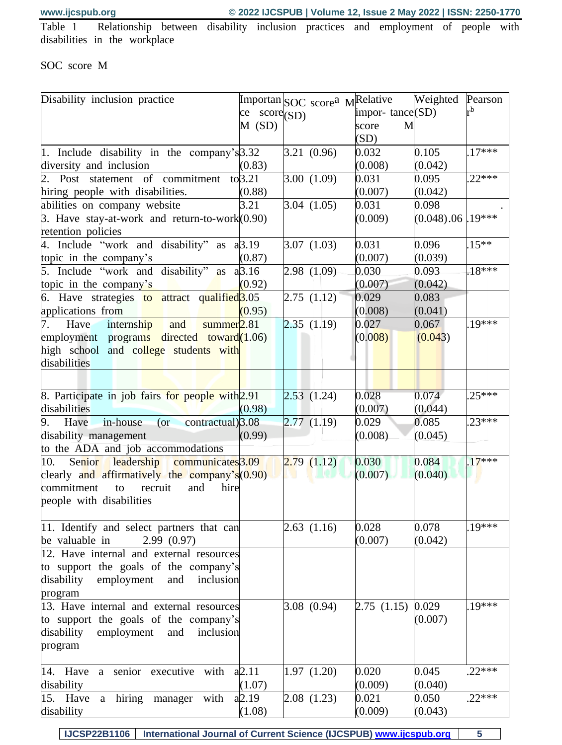<span id="page-4-0"></span>Table 1 Relationship between disability inclusion practices and employment of people with disabilities in the workplace

# SOC score M

| $r^{b}$<br>impor-tance(SD)<br>$\  \text{ce} \text{ score}(\text{SD}) \ $<br>$M$ (SD)<br>score<br>M<br>(SD)<br>0.105<br>$17***$<br>1. Include disability in the company's 3.32<br>3.21(0.96)<br>0.032<br>diversity and inclusion<br>(0.008)<br>(0.042)<br>(0.83)<br>$22***$<br>2. Post statement of commitment to 3.21<br>3.00(1.09)<br>0.031<br>0.095<br>(0.007)<br>(0.042)<br>hiring people with disabilities.<br>(0.88)<br>3.21<br>3.04(1.05)<br>0.031<br>0.098<br>abilities on company website<br>19***<br>3. Have stay-at-work and return-to-work $(0.90)$<br>(0.009)<br>(0.048).06<br>retention policies<br>0.096<br>$15***$<br>4. Include "work and disability" as a 3.19<br>3.07(1.03)<br>0.031<br>(0.007)<br>(0.039)<br>topic in the company's<br>(0.87)<br>5. Include "work and disability" as $a\beta$ .16<br>$.18***$<br>2.98(1.09)<br>0.030<br>0.093<br>topic in the company's<br>(0.92)<br>(0.007)<br>(0.042)<br>6. Have strategies to attract qualified <sup>3.05</sup><br>2.75(1.12)<br>0.083<br>0.029<br>(0.041)<br>(0.008)<br>applications from<br>(0.95)<br>$19***$<br>2.35(1.19)<br>internship<br>0.027<br>0.067<br>Have<br>summer <sub>2.81</sub><br>7.<br>and<br>employment programs directed toward(1.06)<br>(0.008)<br>(0.043)<br>high school and college students with<br>disabilities<br>0.028<br>0.074<br>$.25***$<br>8. Participate in job fairs for people with 2.91<br>2.53(1.24)<br>disabilities<br>(0.044)<br>(0.98)<br>(0.007)<br>$23***$<br>2.77(1.19)<br>0.085<br>contractual)3.08<br>0.029<br>9.<br>in-house<br>Have<br>$($ or<br>(0.008)<br>(0.045)<br>disability management<br>(0.99)<br>to the ADA and job accommodations<br>$17***$<br>0.030<br>10.<br>Senior leadership communicates 3.09<br>2.79(1.12)<br>0.084<br>clearly and affirmatively the company's (0.90)<br>(0.007)<br>(0.040)<br>commitment<br>recruit<br>hire<br>and<br>to<br>people with disabilities<br>$19***$<br>0.028<br>0.078<br>11. Identify and select partners that can<br>2.63(1.16)<br>be valuable in<br>(0.007)<br>(0.042)<br>2.99(0.97)<br>12. Have internal and external resources<br>to support the goals of the company's<br>disability<br>employment<br>and<br>inclusion<br>program<br>19***<br>3.08(0.94)<br>2.75(1.15)<br>0.029<br>13. Have internal and external resources<br>to support the goals of the company's<br>(0.007)<br>disability<br>employment<br>and<br>inclusion<br>program<br>$.22***$<br>1.97(1.20)<br>0.020<br>0.045<br>14. Have a senior executive with<br>a2.11<br>(0.009)<br>(0.040)<br>disability<br>(1.07)<br>$.22***$<br>hiring<br>15. Have a<br>a2.19<br>2.08(1.23)<br>0.021<br>0.050<br>with<br>manager<br>(0.043)<br>(1.08)<br>(0.009)<br>disability | Disability inclusion practice | Importan SOC scorea MRelative |  |  | Weighted | Pearson |
|--------------------------------------------------------------------------------------------------------------------------------------------------------------------------------------------------------------------------------------------------------------------------------------------------------------------------------------------------------------------------------------------------------------------------------------------------------------------------------------------------------------------------------------------------------------------------------------------------------------------------------------------------------------------------------------------------------------------------------------------------------------------------------------------------------------------------------------------------------------------------------------------------------------------------------------------------------------------------------------------------------------------------------------------------------------------------------------------------------------------------------------------------------------------------------------------------------------------------------------------------------------------------------------------------------------------------------------------------------------------------------------------------------------------------------------------------------------------------------------------------------------------------------------------------------------------------------------------------------------------------------------------------------------------------------------------------------------------------------------------------------------------------------------------------------------------------------------------------------------------------------------------------------------------------------------------------------------------------------------------------------------------------------------------------------------------------------------------------------------------------------------------------------------------------------------------------------------------------------------------------------------------------------------------------------------------------------------------------------------------------------------------------------------------------------------------------------------------------------------------------------------------------------------------------------------------------------------------------------------------------------------------------------------------------------------------------------|-------------------------------|-------------------------------|--|--|----------|---------|
|                                                                                                                                                                                                                                                                                                                                                                                                                                                                                                                                                                                                                                                                                                                                                                                                                                                                                                                                                                                                                                                                                                                                                                                                                                                                                                                                                                                                                                                                                                                                                                                                                                                                                                                                                                                                                                                                                                                                                                                                                                                                                                                                                                                                                                                                                                                                                                                                                                                                                                                                                                                                                                                                                                        |                               |                               |  |  |          |         |
|                                                                                                                                                                                                                                                                                                                                                                                                                                                                                                                                                                                                                                                                                                                                                                                                                                                                                                                                                                                                                                                                                                                                                                                                                                                                                                                                                                                                                                                                                                                                                                                                                                                                                                                                                                                                                                                                                                                                                                                                                                                                                                                                                                                                                                                                                                                                                                                                                                                                                                                                                                                                                                                                                                        |                               |                               |  |  |          |         |
|                                                                                                                                                                                                                                                                                                                                                                                                                                                                                                                                                                                                                                                                                                                                                                                                                                                                                                                                                                                                                                                                                                                                                                                                                                                                                                                                                                                                                                                                                                                                                                                                                                                                                                                                                                                                                                                                                                                                                                                                                                                                                                                                                                                                                                                                                                                                                                                                                                                                                                                                                                                                                                                                                                        |                               |                               |  |  |          |         |
|                                                                                                                                                                                                                                                                                                                                                                                                                                                                                                                                                                                                                                                                                                                                                                                                                                                                                                                                                                                                                                                                                                                                                                                                                                                                                                                                                                                                                                                                                                                                                                                                                                                                                                                                                                                                                                                                                                                                                                                                                                                                                                                                                                                                                                                                                                                                                                                                                                                                                                                                                                                                                                                                                                        |                               |                               |  |  |          |         |
|                                                                                                                                                                                                                                                                                                                                                                                                                                                                                                                                                                                                                                                                                                                                                                                                                                                                                                                                                                                                                                                                                                                                                                                                                                                                                                                                                                                                                                                                                                                                                                                                                                                                                                                                                                                                                                                                                                                                                                                                                                                                                                                                                                                                                                                                                                                                                                                                                                                                                                                                                                                                                                                                                                        |                               |                               |  |  |          |         |
|                                                                                                                                                                                                                                                                                                                                                                                                                                                                                                                                                                                                                                                                                                                                                                                                                                                                                                                                                                                                                                                                                                                                                                                                                                                                                                                                                                                                                                                                                                                                                                                                                                                                                                                                                                                                                                                                                                                                                                                                                                                                                                                                                                                                                                                                                                                                                                                                                                                                                                                                                                                                                                                                                                        |                               |                               |  |  |          |         |
|                                                                                                                                                                                                                                                                                                                                                                                                                                                                                                                                                                                                                                                                                                                                                                                                                                                                                                                                                                                                                                                                                                                                                                                                                                                                                                                                                                                                                                                                                                                                                                                                                                                                                                                                                                                                                                                                                                                                                                                                                                                                                                                                                                                                                                                                                                                                                                                                                                                                                                                                                                                                                                                                                                        |                               |                               |  |  |          |         |
|                                                                                                                                                                                                                                                                                                                                                                                                                                                                                                                                                                                                                                                                                                                                                                                                                                                                                                                                                                                                                                                                                                                                                                                                                                                                                                                                                                                                                                                                                                                                                                                                                                                                                                                                                                                                                                                                                                                                                                                                                                                                                                                                                                                                                                                                                                                                                                                                                                                                                                                                                                                                                                                                                                        |                               |                               |  |  |          |         |
|                                                                                                                                                                                                                                                                                                                                                                                                                                                                                                                                                                                                                                                                                                                                                                                                                                                                                                                                                                                                                                                                                                                                                                                                                                                                                                                                                                                                                                                                                                                                                                                                                                                                                                                                                                                                                                                                                                                                                                                                                                                                                                                                                                                                                                                                                                                                                                                                                                                                                                                                                                                                                                                                                                        |                               |                               |  |  |          |         |
|                                                                                                                                                                                                                                                                                                                                                                                                                                                                                                                                                                                                                                                                                                                                                                                                                                                                                                                                                                                                                                                                                                                                                                                                                                                                                                                                                                                                                                                                                                                                                                                                                                                                                                                                                                                                                                                                                                                                                                                                                                                                                                                                                                                                                                                                                                                                                                                                                                                                                                                                                                                                                                                                                                        |                               |                               |  |  |          |         |
|                                                                                                                                                                                                                                                                                                                                                                                                                                                                                                                                                                                                                                                                                                                                                                                                                                                                                                                                                                                                                                                                                                                                                                                                                                                                                                                                                                                                                                                                                                                                                                                                                                                                                                                                                                                                                                                                                                                                                                                                                                                                                                                                                                                                                                                                                                                                                                                                                                                                                                                                                                                                                                                                                                        |                               |                               |  |  |          |         |
|                                                                                                                                                                                                                                                                                                                                                                                                                                                                                                                                                                                                                                                                                                                                                                                                                                                                                                                                                                                                                                                                                                                                                                                                                                                                                                                                                                                                                                                                                                                                                                                                                                                                                                                                                                                                                                                                                                                                                                                                                                                                                                                                                                                                                                                                                                                                                                                                                                                                                                                                                                                                                                                                                                        |                               |                               |  |  |          |         |
|                                                                                                                                                                                                                                                                                                                                                                                                                                                                                                                                                                                                                                                                                                                                                                                                                                                                                                                                                                                                                                                                                                                                                                                                                                                                                                                                                                                                                                                                                                                                                                                                                                                                                                                                                                                                                                                                                                                                                                                                                                                                                                                                                                                                                                                                                                                                                                                                                                                                                                                                                                                                                                                                                                        |                               |                               |  |  |          |         |
|                                                                                                                                                                                                                                                                                                                                                                                                                                                                                                                                                                                                                                                                                                                                                                                                                                                                                                                                                                                                                                                                                                                                                                                                                                                                                                                                                                                                                                                                                                                                                                                                                                                                                                                                                                                                                                                                                                                                                                                                                                                                                                                                                                                                                                                                                                                                                                                                                                                                                                                                                                                                                                                                                                        |                               |                               |  |  |          |         |
|                                                                                                                                                                                                                                                                                                                                                                                                                                                                                                                                                                                                                                                                                                                                                                                                                                                                                                                                                                                                                                                                                                                                                                                                                                                                                                                                                                                                                                                                                                                                                                                                                                                                                                                                                                                                                                                                                                                                                                                                                                                                                                                                                                                                                                                                                                                                                                                                                                                                                                                                                                                                                                                                                                        |                               |                               |  |  |          |         |
|                                                                                                                                                                                                                                                                                                                                                                                                                                                                                                                                                                                                                                                                                                                                                                                                                                                                                                                                                                                                                                                                                                                                                                                                                                                                                                                                                                                                                                                                                                                                                                                                                                                                                                                                                                                                                                                                                                                                                                                                                                                                                                                                                                                                                                                                                                                                                                                                                                                                                                                                                                                                                                                                                                        |                               |                               |  |  |          |         |
|                                                                                                                                                                                                                                                                                                                                                                                                                                                                                                                                                                                                                                                                                                                                                                                                                                                                                                                                                                                                                                                                                                                                                                                                                                                                                                                                                                                                                                                                                                                                                                                                                                                                                                                                                                                                                                                                                                                                                                                                                                                                                                                                                                                                                                                                                                                                                                                                                                                                                                                                                                                                                                                                                                        |                               |                               |  |  |          |         |
|                                                                                                                                                                                                                                                                                                                                                                                                                                                                                                                                                                                                                                                                                                                                                                                                                                                                                                                                                                                                                                                                                                                                                                                                                                                                                                                                                                                                                                                                                                                                                                                                                                                                                                                                                                                                                                                                                                                                                                                                                                                                                                                                                                                                                                                                                                                                                                                                                                                                                                                                                                                                                                                                                                        |                               |                               |  |  |          |         |
|                                                                                                                                                                                                                                                                                                                                                                                                                                                                                                                                                                                                                                                                                                                                                                                                                                                                                                                                                                                                                                                                                                                                                                                                                                                                                                                                                                                                                                                                                                                                                                                                                                                                                                                                                                                                                                                                                                                                                                                                                                                                                                                                                                                                                                                                                                                                                                                                                                                                                                                                                                                                                                                                                                        |                               |                               |  |  |          |         |
|                                                                                                                                                                                                                                                                                                                                                                                                                                                                                                                                                                                                                                                                                                                                                                                                                                                                                                                                                                                                                                                                                                                                                                                                                                                                                                                                                                                                                                                                                                                                                                                                                                                                                                                                                                                                                                                                                                                                                                                                                                                                                                                                                                                                                                                                                                                                                                                                                                                                                                                                                                                                                                                                                                        |                               |                               |  |  |          |         |
|                                                                                                                                                                                                                                                                                                                                                                                                                                                                                                                                                                                                                                                                                                                                                                                                                                                                                                                                                                                                                                                                                                                                                                                                                                                                                                                                                                                                                                                                                                                                                                                                                                                                                                                                                                                                                                                                                                                                                                                                                                                                                                                                                                                                                                                                                                                                                                                                                                                                                                                                                                                                                                                                                                        |                               |                               |  |  |          |         |
|                                                                                                                                                                                                                                                                                                                                                                                                                                                                                                                                                                                                                                                                                                                                                                                                                                                                                                                                                                                                                                                                                                                                                                                                                                                                                                                                                                                                                                                                                                                                                                                                                                                                                                                                                                                                                                                                                                                                                                                                                                                                                                                                                                                                                                                                                                                                                                                                                                                                                                                                                                                                                                                                                                        |                               |                               |  |  |          |         |
|                                                                                                                                                                                                                                                                                                                                                                                                                                                                                                                                                                                                                                                                                                                                                                                                                                                                                                                                                                                                                                                                                                                                                                                                                                                                                                                                                                                                                                                                                                                                                                                                                                                                                                                                                                                                                                                                                                                                                                                                                                                                                                                                                                                                                                                                                                                                                                                                                                                                                                                                                                                                                                                                                                        |                               |                               |  |  |          |         |
|                                                                                                                                                                                                                                                                                                                                                                                                                                                                                                                                                                                                                                                                                                                                                                                                                                                                                                                                                                                                                                                                                                                                                                                                                                                                                                                                                                                                                                                                                                                                                                                                                                                                                                                                                                                                                                                                                                                                                                                                                                                                                                                                                                                                                                                                                                                                                                                                                                                                                                                                                                                                                                                                                                        |                               |                               |  |  |          |         |
|                                                                                                                                                                                                                                                                                                                                                                                                                                                                                                                                                                                                                                                                                                                                                                                                                                                                                                                                                                                                                                                                                                                                                                                                                                                                                                                                                                                                                                                                                                                                                                                                                                                                                                                                                                                                                                                                                                                                                                                                                                                                                                                                                                                                                                                                                                                                                                                                                                                                                                                                                                                                                                                                                                        |                               |                               |  |  |          |         |
|                                                                                                                                                                                                                                                                                                                                                                                                                                                                                                                                                                                                                                                                                                                                                                                                                                                                                                                                                                                                                                                                                                                                                                                                                                                                                                                                                                                                                                                                                                                                                                                                                                                                                                                                                                                                                                                                                                                                                                                                                                                                                                                                                                                                                                                                                                                                                                                                                                                                                                                                                                                                                                                                                                        |                               |                               |  |  |          |         |
|                                                                                                                                                                                                                                                                                                                                                                                                                                                                                                                                                                                                                                                                                                                                                                                                                                                                                                                                                                                                                                                                                                                                                                                                                                                                                                                                                                                                                                                                                                                                                                                                                                                                                                                                                                                                                                                                                                                                                                                                                                                                                                                                                                                                                                                                                                                                                                                                                                                                                                                                                                                                                                                                                                        |                               |                               |  |  |          |         |
|                                                                                                                                                                                                                                                                                                                                                                                                                                                                                                                                                                                                                                                                                                                                                                                                                                                                                                                                                                                                                                                                                                                                                                                                                                                                                                                                                                                                                                                                                                                                                                                                                                                                                                                                                                                                                                                                                                                                                                                                                                                                                                                                                                                                                                                                                                                                                                                                                                                                                                                                                                                                                                                                                                        |                               |                               |  |  |          |         |
|                                                                                                                                                                                                                                                                                                                                                                                                                                                                                                                                                                                                                                                                                                                                                                                                                                                                                                                                                                                                                                                                                                                                                                                                                                                                                                                                                                                                                                                                                                                                                                                                                                                                                                                                                                                                                                                                                                                                                                                                                                                                                                                                                                                                                                                                                                                                                                                                                                                                                                                                                                                                                                                                                                        |                               |                               |  |  |          |         |
|                                                                                                                                                                                                                                                                                                                                                                                                                                                                                                                                                                                                                                                                                                                                                                                                                                                                                                                                                                                                                                                                                                                                                                                                                                                                                                                                                                                                                                                                                                                                                                                                                                                                                                                                                                                                                                                                                                                                                                                                                                                                                                                                                                                                                                                                                                                                                                                                                                                                                                                                                                                                                                                                                                        |                               |                               |  |  |          |         |
|                                                                                                                                                                                                                                                                                                                                                                                                                                                                                                                                                                                                                                                                                                                                                                                                                                                                                                                                                                                                                                                                                                                                                                                                                                                                                                                                                                                                                                                                                                                                                                                                                                                                                                                                                                                                                                                                                                                                                                                                                                                                                                                                                                                                                                                                                                                                                                                                                                                                                                                                                                                                                                                                                                        |                               |                               |  |  |          |         |
|                                                                                                                                                                                                                                                                                                                                                                                                                                                                                                                                                                                                                                                                                                                                                                                                                                                                                                                                                                                                                                                                                                                                                                                                                                                                                                                                                                                                                                                                                                                                                                                                                                                                                                                                                                                                                                                                                                                                                                                                                                                                                                                                                                                                                                                                                                                                                                                                                                                                                                                                                                                                                                                                                                        |                               |                               |  |  |          |         |
|                                                                                                                                                                                                                                                                                                                                                                                                                                                                                                                                                                                                                                                                                                                                                                                                                                                                                                                                                                                                                                                                                                                                                                                                                                                                                                                                                                                                                                                                                                                                                                                                                                                                                                                                                                                                                                                                                                                                                                                                                                                                                                                                                                                                                                                                                                                                                                                                                                                                                                                                                                                                                                                                                                        |                               |                               |  |  |          |         |
|                                                                                                                                                                                                                                                                                                                                                                                                                                                                                                                                                                                                                                                                                                                                                                                                                                                                                                                                                                                                                                                                                                                                                                                                                                                                                                                                                                                                                                                                                                                                                                                                                                                                                                                                                                                                                                                                                                                                                                                                                                                                                                                                                                                                                                                                                                                                                                                                                                                                                                                                                                                                                                                                                                        |                               |                               |  |  |          |         |
|                                                                                                                                                                                                                                                                                                                                                                                                                                                                                                                                                                                                                                                                                                                                                                                                                                                                                                                                                                                                                                                                                                                                                                                                                                                                                                                                                                                                                                                                                                                                                                                                                                                                                                                                                                                                                                                                                                                                                                                                                                                                                                                                                                                                                                                                                                                                                                                                                                                                                                                                                                                                                                                                                                        |                               |                               |  |  |          |         |
|                                                                                                                                                                                                                                                                                                                                                                                                                                                                                                                                                                                                                                                                                                                                                                                                                                                                                                                                                                                                                                                                                                                                                                                                                                                                                                                                                                                                                                                                                                                                                                                                                                                                                                                                                                                                                                                                                                                                                                                                                                                                                                                                                                                                                                                                                                                                                                                                                                                                                                                                                                                                                                                                                                        |                               |                               |  |  |          |         |
|                                                                                                                                                                                                                                                                                                                                                                                                                                                                                                                                                                                                                                                                                                                                                                                                                                                                                                                                                                                                                                                                                                                                                                                                                                                                                                                                                                                                                                                                                                                                                                                                                                                                                                                                                                                                                                                                                                                                                                                                                                                                                                                                                                                                                                                                                                                                                                                                                                                                                                                                                                                                                                                                                                        |                               |                               |  |  |          |         |
|                                                                                                                                                                                                                                                                                                                                                                                                                                                                                                                                                                                                                                                                                                                                                                                                                                                                                                                                                                                                                                                                                                                                                                                                                                                                                                                                                                                                                                                                                                                                                                                                                                                                                                                                                                                                                                                                                                                                                                                                                                                                                                                                                                                                                                                                                                                                                                                                                                                                                                                                                                                                                                                                                                        |                               |                               |  |  |          |         |
|                                                                                                                                                                                                                                                                                                                                                                                                                                                                                                                                                                                                                                                                                                                                                                                                                                                                                                                                                                                                                                                                                                                                                                                                                                                                                                                                                                                                                                                                                                                                                                                                                                                                                                                                                                                                                                                                                                                                                                                                                                                                                                                                                                                                                                                                                                                                                                                                                                                                                                                                                                                                                                                                                                        |                               |                               |  |  |          |         |
|                                                                                                                                                                                                                                                                                                                                                                                                                                                                                                                                                                                                                                                                                                                                                                                                                                                                                                                                                                                                                                                                                                                                                                                                                                                                                                                                                                                                                                                                                                                                                                                                                                                                                                                                                                                                                                                                                                                                                                                                                                                                                                                                                                                                                                                                                                                                                                                                                                                                                                                                                                                                                                                                                                        |                               |                               |  |  |          |         |
|                                                                                                                                                                                                                                                                                                                                                                                                                                                                                                                                                                                                                                                                                                                                                                                                                                                                                                                                                                                                                                                                                                                                                                                                                                                                                                                                                                                                                                                                                                                                                                                                                                                                                                                                                                                                                                                                                                                                                                                                                                                                                                                                                                                                                                                                                                                                                                                                                                                                                                                                                                                                                                                                                                        |                               |                               |  |  |          |         |
|                                                                                                                                                                                                                                                                                                                                                                                                                                                                                                                                                                                                                                                                                                                                                                                                                                                                                                                                                                                                                                                                                                                                                                                                                                                                                                                                                                                                                                                                                                                                                                                                                                                                                                                                                                                                                                                                                                                                                                                                                                                                                                                                                                                                                                                                                                                                                                                                                                                                                                                                                                                                                                                                                                        |                               |                               |  |  |          |         |
|                                                                                                                                                                                                                                                                                                                                                                                                                                                                                                                                                                                                                                                                                                                                                                                                                                                                                                                                                                                                                                                                                                                                                                                                                                                                                                                                                                                                                                                                                                                                                                                                                                                                                                                                                                                                                                                                                                                                                                                                                                                                                                                                                                                                                                                                                                                                                                                                                                                                                                                                                                                                                                                                                                        |                               |                               |  |  |          |         |
|                                                                                                                                                                                                                                                                                                                                                                                                                                                                                                                                                                                                                                                                                                                                                                                                                                                                                                                                                                                                                                                                                                                                                                                                                                                                                                                                                                                                                                                                                                                                                                                                                                                                                                                                                                                                                                                                                                                                                                                                                                                                                                                                                                                                                                                                                                                                                                                                                                                                                                                                                                                                                                                                                                        |                               |                               |  |  |          |         |
|                                                                                                                                                                                                                                                                                                                                                                                                                                                                                                                                                                                                                                                                                                                                                                                                                                                                                                                                                                                                                                                                                                                                                                                                                                                                                                                                                                                                                                                                                                                                                                                                                                                                                                                                                                                                                                                                                                                                                                                                                                                                                                                                                                                                                                                                                                                                                                                                                                                                                                                                                                                                                                                                                                        |                               |                               |  |  |          |         |
|                                                                                                                                                                                                                                                                                                                                                                                                                                                                                                                                                                                                                                                                                                                                                                                                                                                                                                                                                                                                                                                                                                                                                                                                                                                                                                                                                                                                                                                                                                                                                                                                                                                                                                                                                                                                                                                                                                                                                                                                                                                                                                                                                                                                                                                                                                                                                                                                                                                                                                                                                                                                                                                                                                        |                               |                               |  |  |          |         |

**IJCSP22B1106 International Journal of Current Science (IJCSPUB) [www.ijcspub.org](http://www.ijcrt.org/) 5**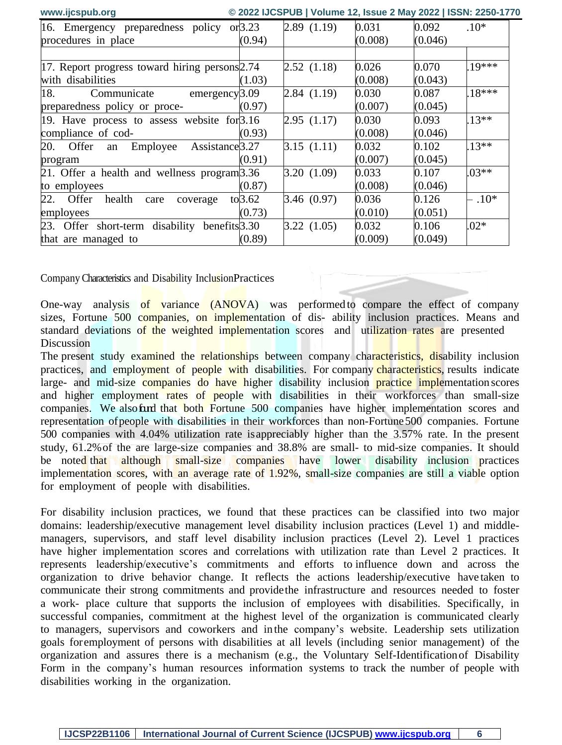| www.ijcspub.org                                |           | © 2022 IJCSPUB   Volume 12, Issue 2 May 2022   ISSN: 2250-1770 |         |         |          |
|------------------------------------------------|-----------|----------------------------------------------------------------|---------|---------|----------|
| 16. Emergency preparedness policy or 3.23      |           | 2.89(1.19)                                                     | 0.031   | 0.092   | $.10*$   |
| procedures in place                            | (0.94)    |                                                                | (0.008) | (0.046) |          |
|                                                |           |                                                                |         |         |          |
| 17. Report progress toward hiring persons 2.74 |           | 2.52(1.18)                                                     | 0.026   | 0.070   | 19***    |
| with disabilities                              | (1.03)    |                                                                | (0.008) | (0.043) |          |
| 18.<br>Communicate emergency 3.09              |           | 2.84(1.19)                                                     | 0.030   | 0.087   | $.18***$ |
| preparedness policy or proce-                  | (0.97)    |                                                                | (0.007) | (0.045) |          |
| 19. Have process to assess website for $3.16$  |           | 2.95(1.17)                                                     | 0.030   | 0.093   | $.13**$  |
| compliance of cod-                             | (0.93)    |                                                                | (0.008) | (0.046) |          |
| Employee Assistance 3.27<br>20. Offer<br>an    |           | 3.15(1.11)                                                     | 0.032   | 0.102   | $.13**$  |
| program                                        | (0.91)    |                                                                | (0.007) | (0.045) |          |
| 21. Offer a health and wellness program 3.36   |           | 3.20(1.09)                                                     | 0.033   | 0.107   | $.03**$  |
| to employees                                   | (0.87)    |                                                                | (0.008) | (0.046) |          |
| 22. Offer<br>health<br>care<br>coverage        | to $3.62$ | 3.46(0.97)                                                     | 0.036   | 0.126   | $-.10*$  |
| employees                                      | (0.73)    |                                                                | (0.010) | (0.051) |          |
| 23. Offer short-term disability benefits 3.30  |           | 3.22(1.05)                                                     | 0.032   | 0.106   | $.02*$   |
| that are managed to                            | (0.89)    |                                                                | (0.009) | (0.049) |          |

Company Characteristics and Disability InclusionPractices

One-way analysis of variance (ANOVA) was performed to compare the effect of company sizes, Fortune 500 companies, on implementation of dis-ability inclusion practices. Means and standard deviations of the weighted implementation scores and utilization rates are presented **Discussion** 

The present study examined the relationships between company characteristics, disability inclusion practices, and employment of people with disabilities. For company characteristics, results indicate large- and mid-size companies do have higher disability inclusion practice implementation scores and higher employment rates of people with disabilities in their workforces than small-size companies. We also fand that both Fortune 500 companies have higher implementation scores and representation of people with disabilities in their workforces than non-Fortune 500 companies. Fortune 500 companies with 4.04% utilization rate is appreciably higher than the 3.57% rate. In the present study, 61.2% of the are large-size companies and 38.8% are small- to mid-size companies. It should be noted that although small-size companies have lower disability inclusion practices implementation scores, with an average rate of 1.92%, small-size companies are still a viable option for employment of people with disabilities.

For disability inclusion practices, we found that these practices can be classified into two major domains: leadership/executive management level disability inclusion practices (Level 1) and middlemanagers, supervisors, and staff level disability inclusion practices (Level 2). Level 1 practices have higher implementation scores and correlations with utilization rate than Level 2 practices. It represents leadership/executive's commitments and efforts to influence down and across the organization to drive behavior change. It reflects the actions leadership/executive have taken to communicate their strong commitments and provide the infrastructure and resources needed to foster a work- place culture that supports the inclusion of employees with disabilities. Specifically, in successful companies, commitment at the highest level of the organization is communicated clearly to managers, supervisors and coworkers and in the company's website. Leadership sets utilization goals for employment of persons with disabilities at all levels (including senior management) of the organization and assures there is a mechanism (e.g., the Voluntary Self-Identification of Disability Form in the company's human resources information systems to track the number of people with disabilities working in the organization.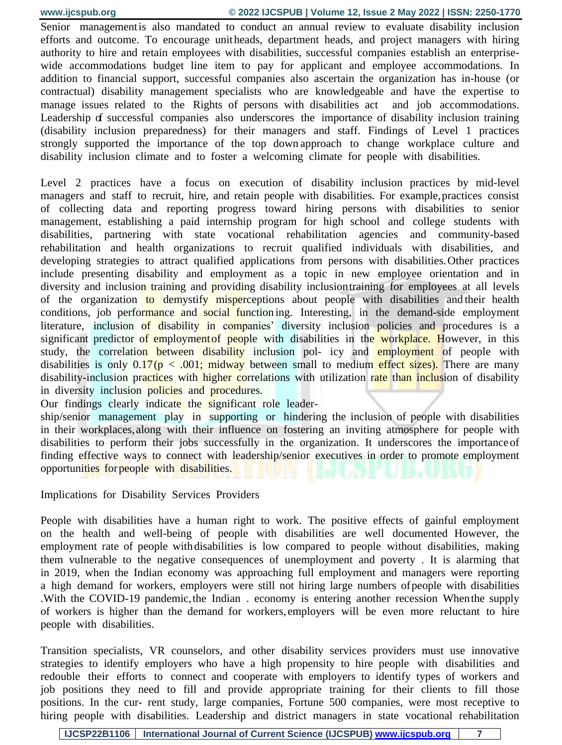Senior management is also mandated to conduct an annual review to evaluate disability inclusion efforts and outcome. To encourage unit heads, department heads, and project managers with hiring authority to hire and retain employees with disabilities, successful companies establish an enterprisewide accommodations budget line item to pay for applicant and employee accommodations. In addition to financial support, successful companies also ascertain the organization has in-house (or contractual) disability management specialists who are knowledgeable and have the expertise to manage issues related to the Rights of persons with disabilities act and job accommodations. Leadership of successful companies also underscores the importance of disability inclusion training (disability inclusion preparedness) for their managers and staff. Findings of Level 1 practices strongly supported the importance of the top down approach to change workplace culture and disability inclusion climate and to foster a welcoming climate for people with disabilities.

Level 2 practices have a focus on execution of disability inclusion practices by mid-level managers and staff to recruit, hire, and retain people with disabilities. For example, practices consist of collecting data and reporting progress toward hiring persons with disabilities to senior management, establishing a paid internship program for high school and college students with disabilities, partnering with state vocational rehabilitation agencies and community-based rehabilitation and health organizations to recruit qualified individuals with disabilities, and developing strategies to attract qualified applications from persons with disabilities. Other practices include presenting disability and employment as a topic in new employee orientation and in diversity and inclusion training and providing disability inclusion training for employees at all levels of the organization to demystify misperceptions about people with disabilities and their health conditions, job performance and social function ing. Interesting, in the demand-side employment literature, inclusion of disability in companies' diversity inclusion policies and procedures is a significant predictor of employment of people with disabilities in the workplace. However, in this study, the correlation between disability inclusion pol- icy and employment of people with disabilities is only  $0.17(p < .001$ ; midway between small to medium effect sizes). There are many disability-inclusion practices with higher correlations with utilization rate than inclusion of disability in diversity inclusion policies and procedures.

Our findings clearly indicate the significant role leader-

ship/senior management play in supporting or hindering the inclusion of people with disabilities in their workplaces, along with their influence on fostering an inviting atmosphere for people with disabilities to perform their jobs successfully in the organization. It underscores the importance of finding effective ways to connect with leadership/senior executives in order to promote employment opportunities for people with disabilities.

Implications for Disability Services Providers

People with disabilities have a human right to work. The positive effects of gainful employment on the health and well-being of people with disabilities are well documented However, the employment rate of people with disabilities is low compared to people without disabilities, making them vulnerable to the negative consequences of unemployment and poverty . It is alarming that in 2019, when the Indian economy was approaching full employment and managers were reporting a high demand for workers, employers were still not hiring large numbers of people with disabilities .With the COVID-19 pandemic, the Indian . economy is entering another recession When the supply of workers is higher than the demand for workers, employers will be even more reluctant to hire people with disabilities.

Transition specialists, VR counselors, and other disability services providers must use innovative strategies to identify employers who have a high propensity to hire people with disabilities and redouble their efforts to connect and cooperate with employers to identify types of workers and job positions they need to fill and provide appropriate training for their clients to fill those positions. In the cur- rent study, large companies, Fortune 500 companies, were most receptive to hiring people with disabilities. Leadership and district managers in state vocational rehabilitation